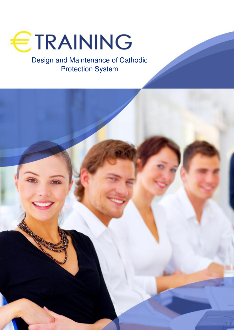

Design and Maintenance of Cathodic Protection System

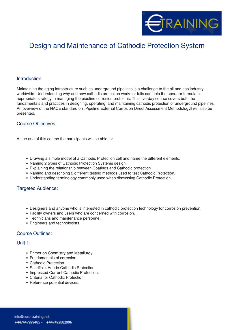

# Design and Maintenance of Cathodic Protection System

## **Introduction:**

Maintaining the aging infrastructure such as underground pipelines is a challenge to the oil and gas industry worldwide. Understanding why and how cathodic protection works or fails can help the operator formulate appropriate strategy in managing the pipeline corrosion problems. This five-day course covers both the fundamentals and practices in designing, operating, and maintaining cathodic protection of underground pipelines. An overview of the NACE standard on **T**Pipeline External Corrosion Direct Assessment Methodology<sup>[]</sup> will also be presented.

## **Course Objectives:**

At the end of this course the participants will be able to:

- Drawing a simple model of a Cathodic Protection cell and name the different elements.
- Naming 2 types of Cathodic Protection Systems design.
- Explaining the relationship between Coatings and Cathodic protection.
- Naming and describing 2 different testing methods used to test Cathodic Protection.
- Understanding terminology commonly used when discussing Cathodic Protection.

## **Targeted Audience:**

- Designers and anyone who is interested in cathodic protection technology for corrosion prevention.
- Facility owners and users who are concerned with corrosion.
- Technicians and maintenance personnel.
- Engineers and technologists.

#### **Course Outlines:**

#### **Unit 1:**

- Primer on Chemistry and Metallurgy.
- Fundamentals of corrosion.
- Cathodic Protection.
- Sacrificial Anode Cathodic Protection.
- Impressed Current Cathodic Protection.
- Criteria for Cathodic Protection.
- Reference potential devices.